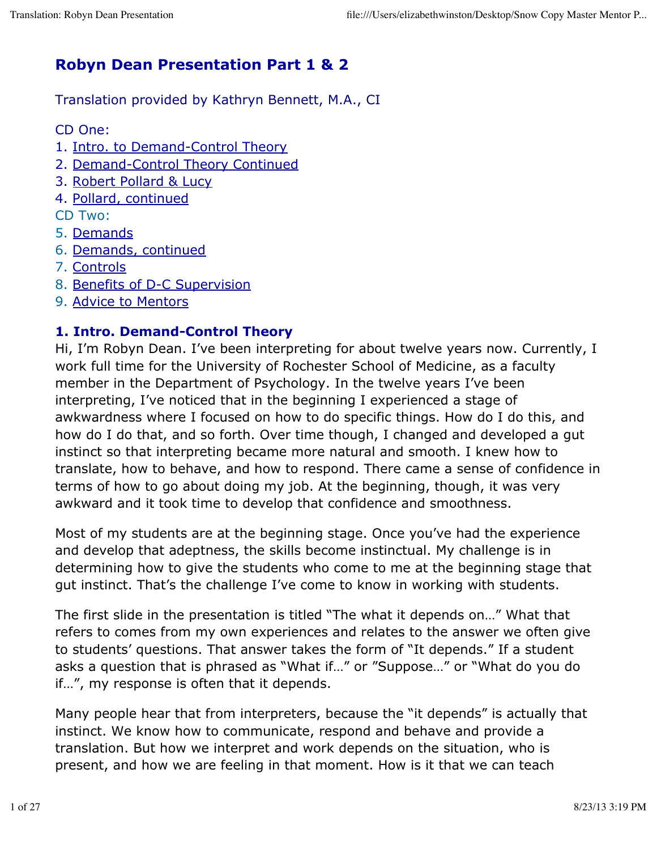# **Robyn Dean Presentation Part 1 & 2**

Translation provided by Kathryn Bennett, M.A., CI

CD One:

- 1. Intro. to Demand-Control Theory
- 2. Demand-Control Theory Continued
- 3. Robert Pollard & Lucy
- 4. Pollard, continued

CD Two:

- 5. Demands
- 6. Demands, continued
- 7. Controls
- 8. Benefits of D-C Supervision
- 9. Advice to Mentors

# **1. Intro. Demand-Control Theory**

Hi, I'm Robyn Dean. I've been interpreting for about twelve years now. Currently, I work full time for the University of Rochester School of Medicine, as a faculty member in the Department of Psychology. In the twelve years I've been interpreting, I've noticed that in the beginning I experienced a stage of awkwardness where I focused on how to do specific things. How do I do this, and how do I do that, and so forth. Over time though, I changed and developed a gut instinct so that interpreting became more natural and smooth. I knew how to translate, how to behave, and how to respond. There came a sense of confidence in terms of how to go about doing my job. At the beginning, though, it was very awkward and it took time to develop that confidence and smoothness.

Most of my students are at the beginning stage. Once you've had the experience and develop that adeptness, the skills become instinctual. My challenge is in determining how to give the students who come to me at the beginning stage that gut instinct. That's the challenge I've come to know in working with students.

The first slide in the presentation is titled "The what it depends on…" What that refers to comes from my own experiences and relates to the answer we often give to students' questions. That answer takes the form of "It depends." If a student asks a question that is phrased as "What if…" or "Suppose…" or "What do you do if…", my response is often that it depends.

Many people hear that from interpreters, because the "it depends" is actually that instinct. We know how to communicate, respond and behave and provide a translation. But how we interpret and work depends on the situation, who is present, and how we are feeling in that moment. How is it that we can teach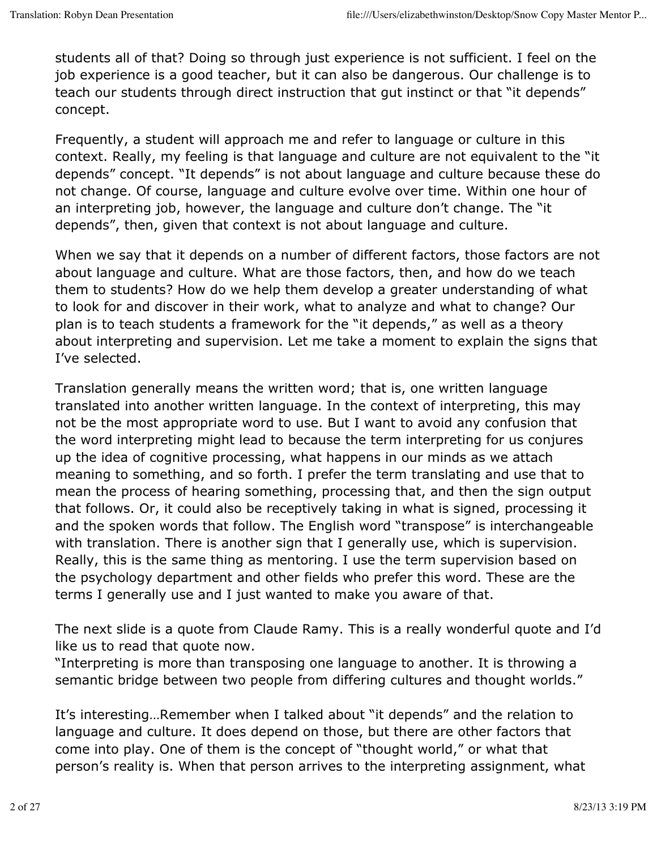students all of that? Doing so through just experience is not sufficient. I feel on the job experience is a good teacher, but it can also be dangerous. Our challenge is to teach our students through direct instruction that gut instinct or that "it depends" concept.

Frequently, a student will approach me and refer to language or culture in this context. Really, my feeling is that language and culture are not equivalent to the "it depends" concept. "It depends" is not about language and culture because these do not change. Of course, language and culture evolve over time. Within one hour of an interpreting job, however, the language and culture don't change. The "it depends", then, given that context is not about language and culture.

When we say that it depends on a number of different factors, those factors are not about language and culture. What are those factors, then, and how do we teach them to students? How do we help them develop a greater understanding of what to look for and discover in their work, what to analyze and what to change? Our plan is to teach students a framework for the "it depends," as well as a theory about interpreting and supervision. Let me take a moment to explain the signs that I've selected.

Translation generally means the written word; that is, one written language translated into another written language. In the context of interpreting, this may not be the most appropriate word to use. But I want to avoid any confusion that the word interpreting might lead to because the term interpreting for us conjures up the idea of cognitive processing, what happens in our minds as we attach meaning to something, and so forth. I prefer the term translating and use that to mean the process of hearing something, processing that, and then the sign output that follows. Or, it could also be receptively taking in what is signed, processing it and the spoken words that follow. The English word "transpose" is interchangeable with translation. There is another sign that I generally use, which is supervision. Really, this is the same thing as mentoring. I use the term supervision based on the psychology department and other fields who prefer this word. These are the terms I generally use and I just wanted to make you aware of that.

The next slide is a quote from Claude Ramy. This is a really wonderful quote and I'd like us to read that quote now.

"Interpreting is more than transposing one language to another. It is throwing a semantic bridge between two people from differing cultures and thought worlds."

It's interesting…Remember when I talked about "it depends" and the relation to language and culture. It does depend on those, but there are other factors that come into play. One of them is the concept of "thought world," or what that person's reality is. When that person arrives to the interpreting assignment, what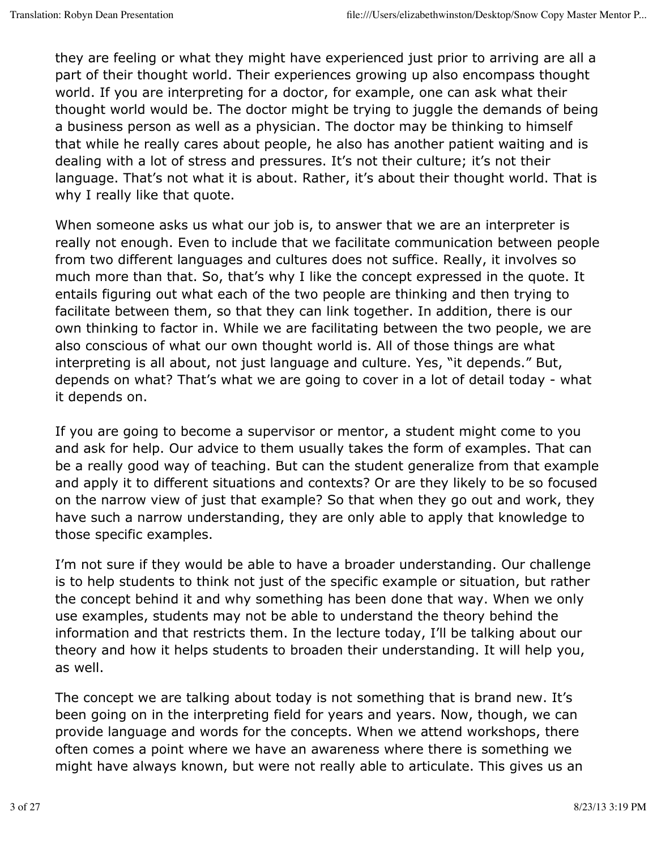they are feeling or what they might have experienced just prior to arriving are all a part of their thought world. Their experiences growing up also encompass thought world. If you are interpreting for a doctor, for example, one can ask what their thought world would be. The doctor might be trying to juggle the demands of being a business person as well as a physician. The doctor may be thinking to himself that while he really cares about people, he also has another patient waiting and is dealing with a lot of stress and pressures. It's not their culture; it's not their language. That's not what it is about. Rather, it's about their thought world. That is why I really like that quote.

When someone asks us what our job is, to answer that we are an interpreter is really not enough. Even to include that we facilitate communication between people from two different languages and cultures does not suffice. Really, it involves so much more than that. So, that's why I like the concept expressed in the quote. It entails figuring out what each of the two people are thinking and then trying to facilitate between them, so that they can link together. In addition, there is our own thinking to factor in. While we are facilitating between the two people, we are also conscious of what our own thought world is. All of those things are what interpreting is all about, not just language and culture. Yes, "it depends." But, depends on what? That's what we are going to cover in a lot of detail today - what it depends on.

If you are going to become a supervisor or mentor, a student might come to you and ask for help. Our advice to them usually takes the form of examples. That can be a really good way of teaching. But can the student generalize from that example and apply it to different situations and contexts? Or are they likely to be so focused on the narrow view of just that example? So that when they go out and work, they have such a narrow understanding, they are only able to apply that knowledge to those specific examples.

I'm not sure if they would be able to have a broader understanding. Our challenge is to help students to think not just of the specific example or situation, but rather the concept behind it and why something has been done that way. When we only use examples, students may not be able to understand the theory behind the information and that restricts them. In the lecture today, I'll be talking about our theory and how it helps students to broaden their understanding. It will help you, as well.

The concept we are talking about today is not something that is brand new. It's been going on in the interpreting field for years and years. Now, though, we can provide language and words for the concepts. When we attend workshops, there often comes a point where we have an awareness where there is something we might have always known, but were not really able to articulate. This gives us an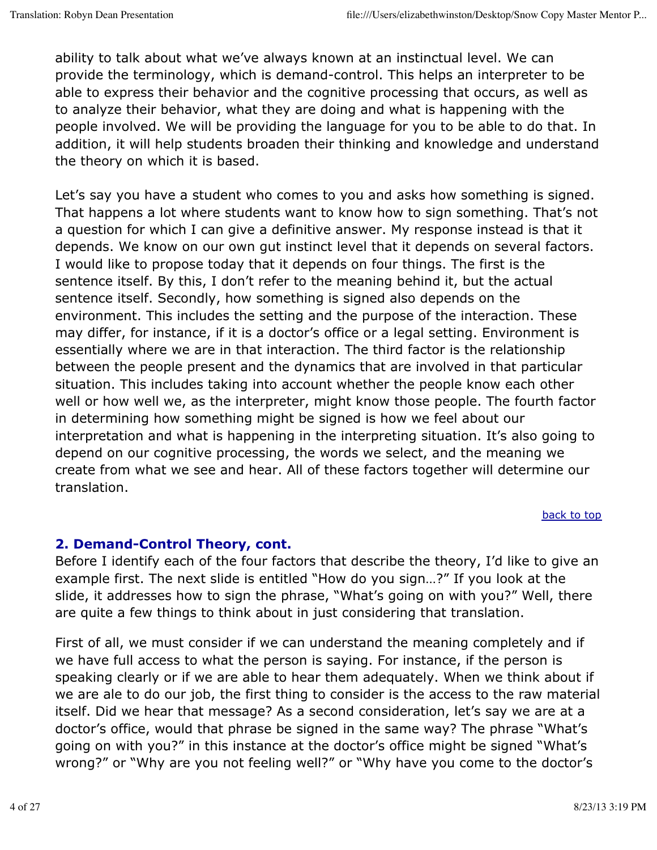ability to talk about what we've always known at an instinctual level. We can provide the terminology, which is demand-control. This helps an interpreter to be able to express their behavior and the cognitive processing that occurs, as well as to analyze their behavior, what they are doing and what is happening with the people involved. We will be providing the language for you to be able to do that. In addition, it will help students broaden their thinking and knowledge and understand the theory on which it is based.

Let's say you have a student who comes to you and asks how something is signed. That happens a lot where students want to know how to sign something. That's not a question for which I can give a definitive answer. My response instead is that it depends. We know on our own gut instinct level that it depends on several factors. I would like to propose today that it depends on four things. The first is the sentence itself. By this, I don't refer to the meaning behind it, but the actual sentence itself. Secondly, how something is signed also depends on the environment. This includes the setting and the purpose of the interaction. These may differ, for instance, if it is a doctor's office or a legal setting. Environment is essentially where we are in that interaction. The third factor is the relationship between the people present and the dynamics that are involved in that particular situation. This includes taking into account whether the people know each other well or how well we, as the interpreter, might know those people. The fourth factor in determining how something might be signed is how we feel about our interpretation and what is happening in the interpreting situation. It's also going to depend on our cognitive processing, the words we select, and the meaning we create from what we see and hear. All of these factors together will determine our translation.

back to top

#### **2. Demand-Control Theory, cont.**

Before I identify each of the four factors that describe the theory, I'd like to give an example first. The next slide is entitled "How do you sign…?" If you look at the slide, it addresses how to sign the phrase, "What's going on with you?" Well, there are quite a few things to think about in just considering that translation.

First of all, we must consider if we can understand the meaning completely and if we have full access to what the person is saying. For instance, if the person is speaking clearly or if we are able to hear them adequately. When we think about if we are ale to do our job, the first thing to consider is the access to the raw material itself. Did we hear that message? As a second consideration, let's say we are at a doctor's office, would that phrase be signed in the same way? The phrase "What's going on with you?" in this instance at the doctor's office might be signed "What's wrong?" or "Why are you not feeling well?" or "Why have you come to the doctor's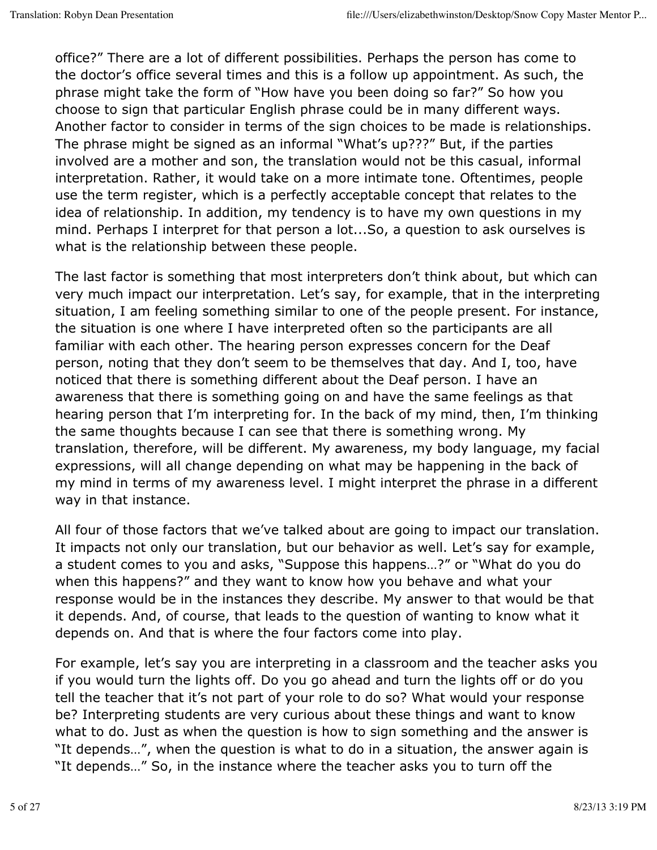office?" There are a lot of different possibilities. Perhaps the person has come to the doctor's office several times and this is a follow up appointment. As such, the phrase might take the form of "How have you been doing so far?" So how you choose to sign that particular English phrase could be in many different ways. Another factor to consider in terms of the sign choices to be made is relationships. The phrase might be signed as an informal "What's up???" But, if the parties involved are a mother and son, the translation would not be this casual, informal interpretation. Rather, it would take on a more intimate tone. Oftentimes, people use the term register, which is a perfectly acceptable concept that relates to the idea of relationship. In addition, my tendency is to have my own questions in my mind. Perhaps I interpret for that person a lot...So, a question to ask ourselves is what is the relationship between these people.

The last factor is something that most interpreters don't think about, but which can very much impact our interpretation. Let's say, for example, that in the interpreting situation, I am feeling something similar to one of the people present. For instance, the situation is one where I have interpreted often so the participants are all familiar with each other. The hearing person expresses concern for the Deaf person, noting that they don't seem to be themselves that day. And I, too, have noticed that there is something different about the Deaf person. I have an awareness that there is something going on and have the same feelings as that hearing person that I'm interpreting for. In the back of my mind, then, I'm thinking the same thoughts because I can see that there is something wrong. My translation, therefore, will be different. My awareness, my body language, my facial expressions, will all change depending on what may be happening in the back of my mind in terms of my awareness level. I might interpret the phrase in a different way in that instance.

All four of those factors that we've talked about are going to impact our translation. It impacts not only our translation, but our behavior as well. Let's say for example, a student comes to you and asks, "Suppose this happens…?" or "What do you do when this happens?" and they want to know how you behave and what your response would be in the instances they describe. My answer to that would be that it depends. And, of course, that leads to the question of wanting to know what it depends on. And that is where the four factors come into play.

For example, let's say you are interpreting in a classroom and the teacher asks you if you would turn the lights off. Do you go ahead and turn the lights off or do you tell the teacher that it's not part of your role to do so? What would your response be? Interpreting students are very curious about these things and want to know what to do. Just as when the question is how to sign something and the answer is "It depends…", when the question is what to do in a situation, the answer again is "It depends…" So, in the instance where the teacher asks you to turn off the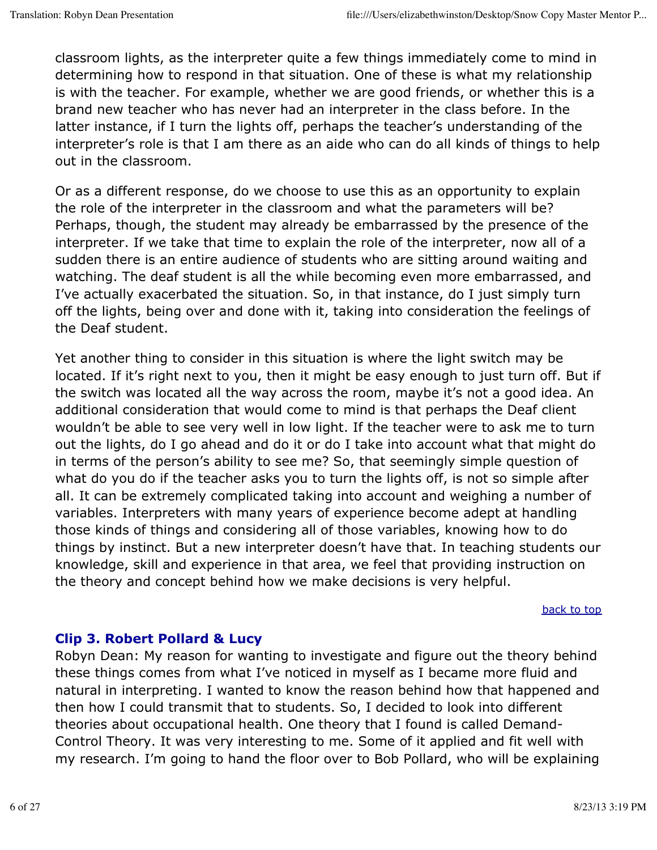classroom lights, as the interpreter quite a few things immediately come to mind in determining how to respond in that situation. One of these is what my relationship is with the teacher. For example, whether we are good friends, or whether this is a brand new teacher who has never had an interpreter in the class before. In the latter instance, if I turn the lights off, perhaps the teacher's understanding of the interpreter's role is that I am there as an aide who can do all kinds of things to help out in the classroom.

Or as a different response, do we choose to use this as an opportunity to explain the role of the interpreter in the classroom and what the parameters will be? Perhaps, though, the student may already be embarrassed by the presence of the interpreter. If we take that time to explain the role of the interpreter, now all of a sudden there is an entire audience of students who are sitting around waiting and watching. The deaf student is all the while becoming even more embarrassed, and I've actually exacerbated the situation. So, in that instance, do I just simply turn off the lights, being over and done with it, taking into consideration the feelings of the Deaf student.

Yet another thing to consider in this situation is where the light switch may be located. If it's right next to you, then it might be easy enough to just turn off. But if the switch was located all the way across the room, maybe it's not a good idea. An additional consideration that would come to mind is that perhaps the Deaf client wouldn't be able to see very well in low light. If the teacher were to ask me to turn out the lights, do I go ahead and do it or do I take into account what that might do in terms of the person's ability to see me? So, that seemingly simple question of what do you do if the teacher asks you to turn the lights off, is not so simple after all. It can be extremely complicated taking into account and weighing a number of variables. Interpreters with many years of experience become adept at handling those kinds of things and considering all of those variables, knowing how to do things by instinct. But a new interpreter doesn't have that. In teaching students our knowledge, skill and experience in that area, we feel that providing instruction on the theory and concept behind how we make decisions is very helpful.

#### back to top

#### **Clip 3. Robert Pollard & Lucy**

Robyn Dean: My reason for wanting to investigate and figure out the theory behind these things comes from what I've noticed in myself as I became more fluid and natural in interpreting. I wanted to know the reason behind how that happened and then how I could transmit that to students. So, I decided to look into different theories about occupational health. One theory that I found is called Demand-Control Theory. It was very interesting to me. Some of it applied and fit well with my research. I'm going to hand the floor over to Bob Pollard, who will be explaining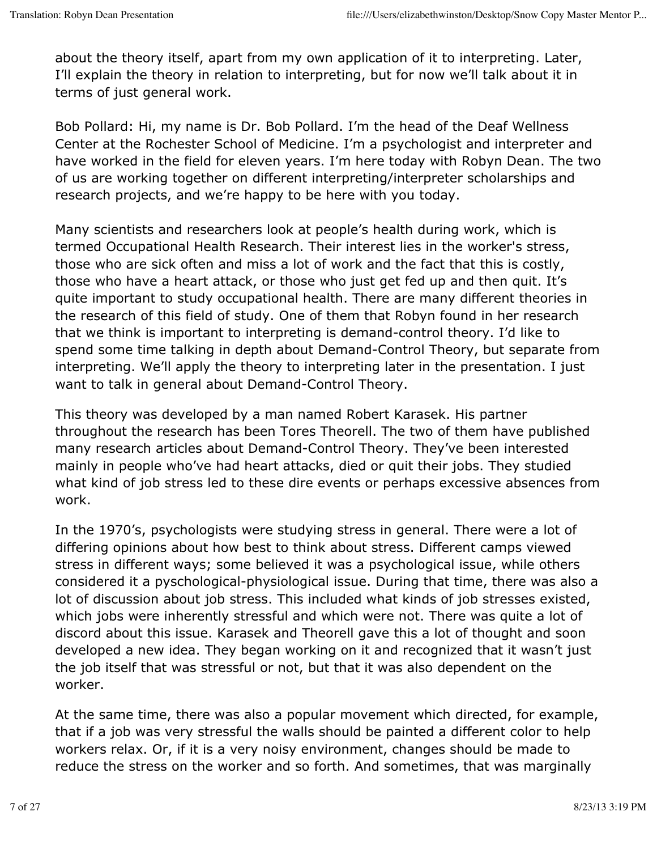about the theory itself, apart from my own application of it to interpreting. Later, I'll explain the theory in relation to interpreting, but for now we'll talk about it in terms of just general work.

Bob Pollard: Hi, my name is Dr. Bob Pollard. I'm the head of the Deaf Wellness Center at the Rochester School of Medicine. I'm a psychologist and interpreter and have worked in the field for eleven years. I'm here today with Robyn Dean. The two of us are working together on different interpreting/interpreter scholarships and research projects, and we're happy to be here with you today.

Many scientists and researchers look at people's health during work, which is termed Occupational Health Research. Their interest lies in the worker's stress, those who are sick often and miss a lot of work and the fact that this is costly, those who have a heart attack, or those who just get fed up and then quit. It's quite important to study occupational health. There are many different theories in the research of this field of study. One of them that Robyn found in her research that we think is important to interpreting is demand-control theory. I'd like to spend some time talking in depth about Demand-Control Theory, but separate from interpreting. We'll apply the theory to interpreting later in the presentation. I just want to talk in general about Demand-Control Theory.

This theory was developed by a man named Robert Karasek. His partner throughout the research has been Tores Theorell. The two of them have published many research articles about Demand-Control Theory. They've been interested mainly in people who've had heart attacks, died or quit their jobs. They studied what kind of job stress led to these dire events or perhaps excessive absences from work.

In the 1970's, psychologists were studying stress in general. There were a lot of differing opinions about how best to think about stress. Different camps viewed stress in different ways; some believed it was a psychological issue, while others considered it a pyschological-physiological issue. During that time, there was also a lot of discussion about job stress. This included what kinds of job stresses existed, which jobs were inherently stressful and which were not. There was quite a lot of discord about this issue. Karasek and Theorell gave this a lot of thought and soon developed a new idea. They began working on it and recognized that it wasn't just the job itself that was stressful or not, but that it was also dependent on the worker.

At the same time, there was also a popular movement which directed, for example, that if a job was very stressful the walls should be painted a different color to help workers relax. Or, if it is a very noisy environment, changes should be made to reduce the stress on the worker and so forth. And sometimes, that was marginally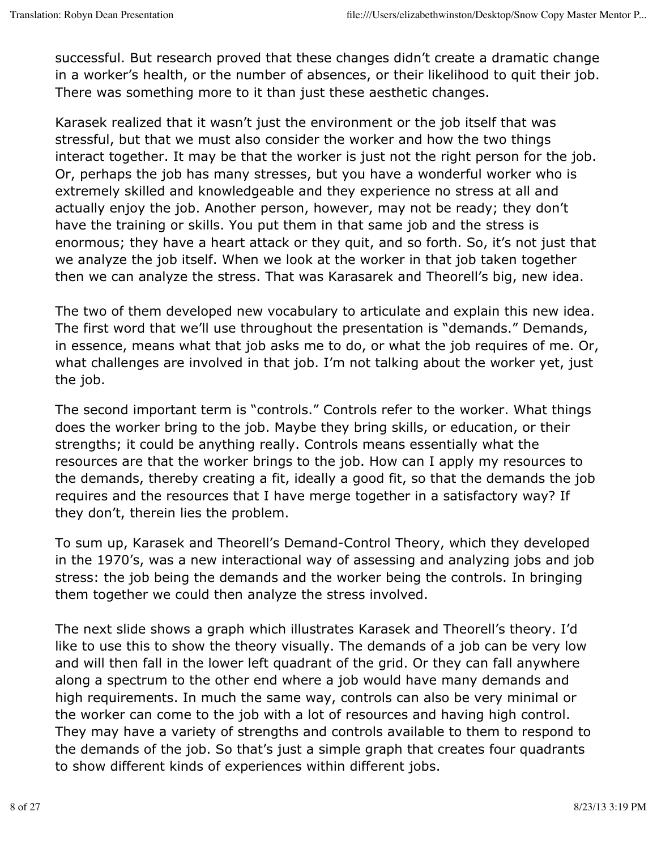successful. But research proved that these changes didn't create a dramatic change in a worker's health, or the number of absences, or their likelihood to quit their job. There was something more to it than just these aesthetic changes.

Karasek realized that it wasn't just the environment or the job itself that was stressful, but that we must also consider the worker and how the two things interact together. It may be that the worker is just not the right person for the job. Or, perhaps the job has many stresses, but you have a wonderful worker who is extremely skilled and knowledgeable and they experience no stress at all and actually enjoy the job. Another person, however, may not be ready; they don't have the training or skills. You put them in that same job and the stress is enormous; they have a heart attack or they quit, and so forth. So, it's not just that we analyze the job itself. When we look at the worker in that job taken together then we can analyze the stress. That was Karasarek and Theorell's big, new idea.

The two of them developed new vocabulary to articulate and explain this new idea. The first word that we'll use throughout the presentation is "demands." Demands, in essence, means what that job asks me to do, or what the job requires of me. Or, what challenges are involved in that job. I'm not talking about the worker yet, just the job.

The second important term is "controls." Controls refer to the worker. What things does the worker bring to the job. Maybe they bring skills, or education, or their strengths; it could be anything really. Controls means essentially what the resources are that the worker brings to the job. How can I apply my resources to the demands, thereby creating a fit, ideally a good fit, so that the demands the job requires and the resources that I have merge together in a satisfactory way? If they don't, therein lies the problem.

To sum up, Karasek and Theorell's Demand-Control Theory, which they developed in the 1970's, was a new interactional way of assessing and analyzing jobs and job stress: the job being the demands and the worker being the controls. In bringing them together we could then analyze the stress involved.

The next slide shows a graph which illustrates Karasek and Theorell's theory. I'd like to use this to show the theory visually. The demands of a job can be very low and will then fall in the lower left quadrant of the grid. Or they can fall anywhere along a spectrum to the other end where a job would have many demands and high requirements. In much the same way, controls can also be very minimal or the worker can come to the job with a lot of resources and having high control. They may have a variety of strengths and controls available to them to respond to the demands of the job. So that's just a simple graph that creates four quadrants to show different kinds of experiences within different jobs.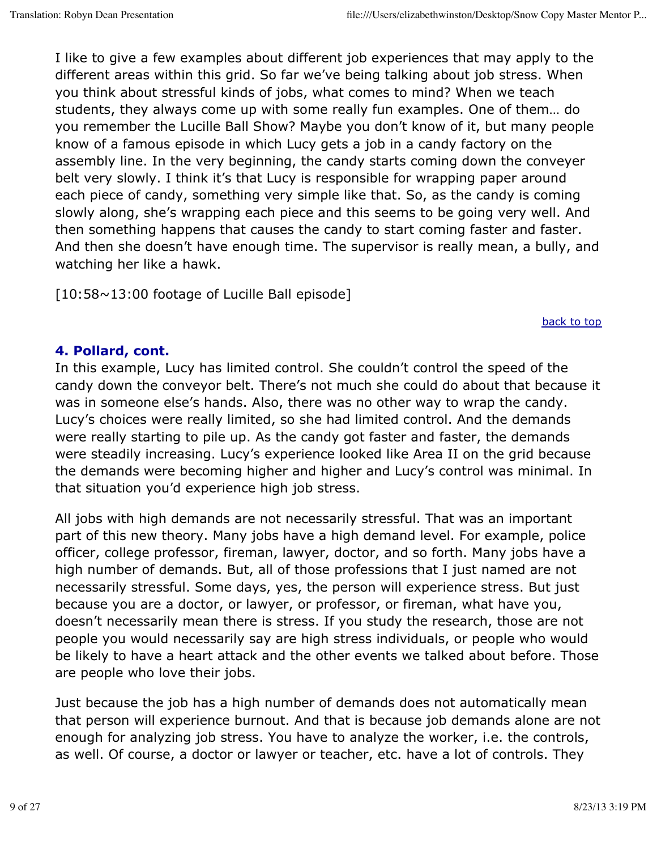I like to give a few examples about different job experiences that may apply to the different areas within this grid. So far we've being talking about job stress. When you think about stressful kinds of jobs, what comes to mind? When we teach students, they always come up with some really fun examples. One of them… do you remember the Lucille Ball Show? Maybe you don't know of it, but many people know of a famous episode in which Lucy gets a job in a candy factory on the assembly line. In the very beginning, the candy starts coming down the conveyer belt very slowly. I think it's that Lucy is responsible for wrapping paper around each piece of candy, something very simple like that. So, as the candy is coming slowly along, she's wrapping each piece and this seems to be going very well. And then something happens that causes the candy to start coming faster and faster. And then she doesn't have enough time. The supervisor is really mean, a bully, and watching her like a hawk.

[10:58~13:00 footage of Lucille Ball episode]

back to top

# **4. Pollard, cont.**

In this example, Lucy has limited control. She couldn't control the speed of the candy down the conveyor belt. There's not much she could do about that because it was in someone else's hands. Also, there was no other way to wrap the candy. Lucy's choices were really limited, so she had limited control. And the demands were really starting to pile up. As the candy got faster and faster, the demands were steadily increasing. Lucy's experience looked like Area II on the grid because the demands were becoming higher and higher and Lucy's control was minimal. In that situation you'd experience high job stress.

All jobs with high demands are not necessarily stressful. That was an important part of this new theory. Many jobs have a high demand level. For example, police officer, college professor, fireman, lawyer, doctor, and so forth. Many jobs have a high number of demands. But, all of those professions that I just named are not necessarily stressful. Some days, yes, the person will experience stress. But just because you are a doctor, or lawyer, or professor, or fireman, what have you, doesn't necessarily mean there is stress. If you study the research, those are not people you would necessarily say are high stress individuals, or people who would be likely to have a heart attack and the other events we talked about before. Those are people who love their jobs.

Just because the job has a high number of demands does not automatically mean that person will experience burnout. And that is because job demands alone are not enough for analyzing job stress. You have to analyze the worker, i.e. the controls, as well. Of course, a doctor or lawyer or teacher, etc. have a lot of controls. They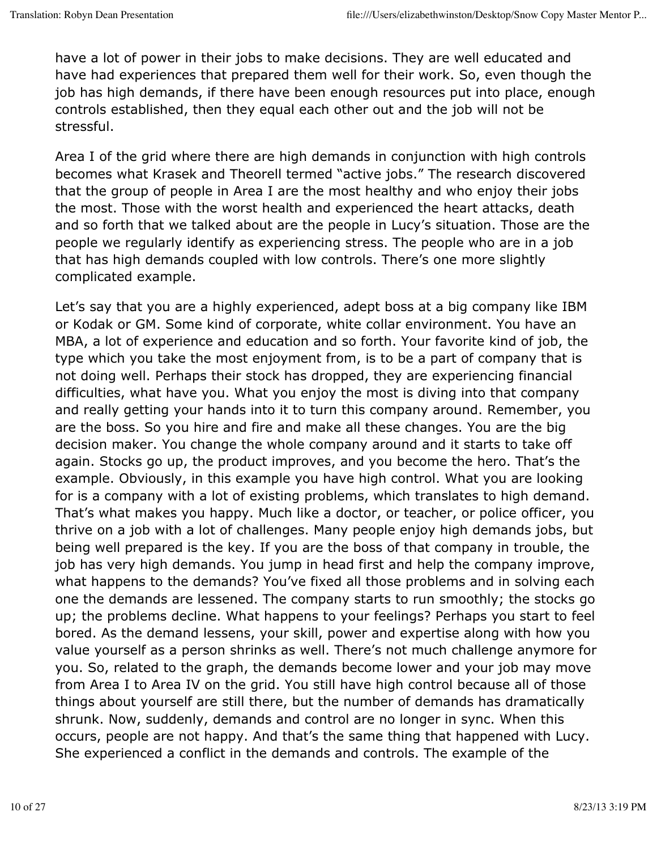have a lot of power in their jobs to make decisions. They are well educated and have had experiences that prepared them well for their work. So, even though the job has high demands, if there have been enough resources put into place, enough controls established, then they equal each other out and the job will not be stressful.

Area I of the grid where there are high demands in conjunction with high controls becomes what Krasek and Theorell termed "active jobs." The research discovered that the group of people in Area I are the most healthy and who enjoy their jobs the most. Those with the worst health and experienced the heart attacks, death and so forth that we talked about are the people in Lucy's situation. Those are the people we regularly identify as experiencing stress. The people who are in a job that has high demands coupled with low controls. There's one more slightly complicated example.

Let's say that you are a highly experienced, adept boss at a big company like IBM or Kodak or GM. Some kind of corporate, white collar environment. You have an MBA, a lot of experience and education and so forth. Your favorite kind of job, the type which you take the most enjoyment from, is to be a part of company that is not doing well. Perhaps their stock has dropped, they are experiencing financial difficulties, what have you. What you enjoy the most is diving into that company and really getting your hands into it to turn this company around. Remember, you are the boss. So you hire and fire and make all these changes. You are the big decision maker. You change the whole company around and it starts to take off again. Stocks go up, the product improves, and you become the hero. That's the example. Obviously, in this example you have high control. What you are looking for is a company with a lot of existing problems, which translates to high demand. That's what makes you happy. Much like a doctor, or teacher, or police officer, you thrive on a job with a lot of challenges. Many people enjoy high demands jobs, but being well prepared is the key. If you are the boss of that company in trouble, the job has very high demands. You jump in head first and help the company improve, what happens to the demands? You've fixed all those problems and in solving each one the demands are lessened. The company starts to run smoothly; the stocks go up; the problems decline. What happens to your feelings? Perhaps you start to feel bored. As the demand lessens, your skill, power and expertise along with how you value yourself as a person shrinks as well. There's not much challenge anymore for you. So, related to the graph, the demands become lower and your job may move from Area I to Area IV on the grid. You still have high control because all of those things about yourself are still there, but the number of demands has dramatically shrunk. Now, suddenly, demands and control are no longer in sync. When this occurs, people are not happy. And that's the same thing that happened with Lucy. She experienced a conflict in the demands and controls. The example of the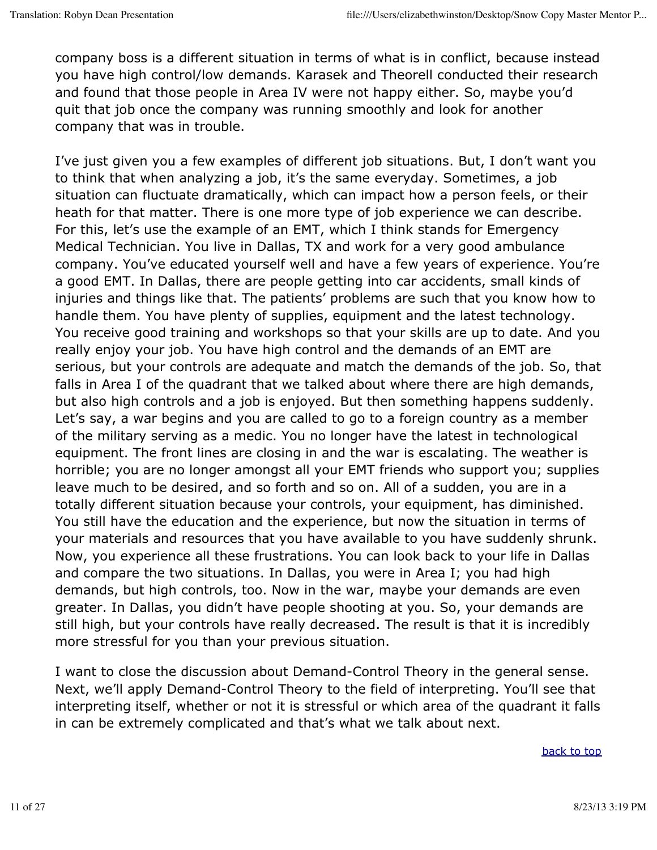company boss is a different situation in terms of what is in conflict, because instead you have high control/low demands. Karasek and Theorell conducted their research and found that those people in Area IV were not happy either. So, maybe you'd quit that job once the company was running smoothly and look for another company that was in trouble.

I've just given you a few examples of different job situations. But, I don't want you to think that when analyzing a job, it's the same everyday. Sometimes, a job situation can fluctuate dramatically, which can impact how a person feels, or their heath for that matter. There is one more type of job experience we can describe. For this, let's use the example of an EMT, which I think stands for Emergency Medical Technician. You live in Dallas, TX and work for a very good ambulance company. You've educated yourself well and have a few years of experience. You're a good EMT. In Dallas, there are people getting into car accidents, small kinds of injuries and things like that. The patients' problems are such that you know how to handle them. You have plenty of supplies, equipment and the latest technology. You receive good training and workshops so that your skills are up to date. And you really enjoy your job. You have high control and the demands of an EMT are serious, but your controls are adequate and match the demands of the job. So, that falls in Area I of the quadrant that we talked about where there are high demands, but also high controls and a job is enjoyed. But then something happens suddenly. Let's say, a war begins and you are called to go to a foreign country as a member of the military serving as a medic. You no longer have the latest in technological equipment. The front lines are closing in and the war is escalating. The weather is horrible; you are no longer amongst all your EMT friends who support you; supplies leave much to be desired, and so forth and so on. All of a sudden, you are in a totally different situation because your controls, your equipment, has diminished. You still have the education and the experience, but now the situation in terms of your materials and resources that you have available to you have suddenly shrunk. Now, you experience all these frustrations. You can look back to your life in Dallas and compare the two situations. In Dallas, you were in Area I; you had high demands, but high controls, too. Now in the war, maybe your demands are even greater. In Dallas, you didn't have people shooting at you. So, your demands are still high, but your controls have really decreased. The result is that it is incredibly more stressful for you than your previous situation.

I want to close the discussion about Demand-Control Theory in the general sense. Next, we'll apply Demand-Control Theory to the field of interpreting. You'll see that interpreting itself, whether or not it is stressful or which area of the quadrant it falls in can be extremely complicated and that's what we talk about next.

back to top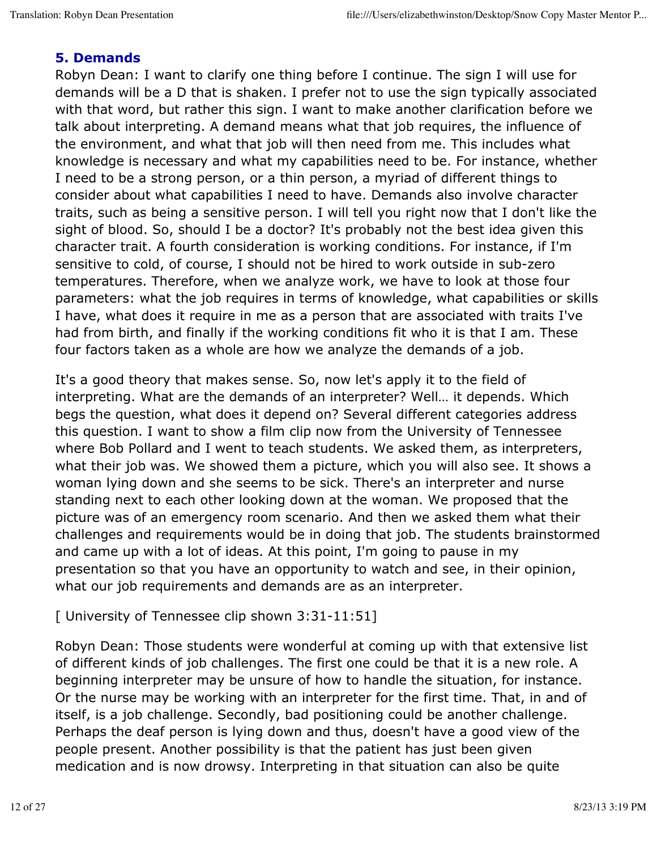#### **5. Demands**

Robyn Dean: I want to clarify one thing before I continue. The sign I will use for demands will be a D that is shaken. I prefer not to use the sign typically associated with that word, but rather this sign. I want to make another clarification before we talk about interpreting. A demand means what that job requires, the influence of the environment, and what that job will then need from me. This includes what knowledge is necessary and what my capabilities need to be. For instance, whether I need to be a strong person, or a thin person, a myriad of different things to consider about what capabilities I need to have. Demands also involve character traits, such as being a sensitive person. I will tell you right now that I don't like the sight of blood. So, should I be a doctor? It's probably not the best idea given this character trait. A fourth consideration is working conditions. For instance, if I'm sensitive to cold, of course, I should not be hired to work outside in sub-zero temperatures. Therefore, when we analyze work, we have to look at those four parameters: what the job requires in terms of knowledge, what capabilities or skills I have, what does it require in me as a person that are associated with traits I've had from birth, and finally if the working conditions fit who it is that I am. These four factors taken as a whole are how we analyze the demands of a job.

It's a good theory that makes sense. So, now let's apply it to the field of interpreting. What are the demands of an interpreter? Well… it depends. Which begs the question, what does it depend on? Several different categories address this question. I want to show a film clip now from the University of Tennessee where Bob Pollard and I went to teach students. We asked them, as interpreters, what their job was. We showed them a picture, which you will also see. It shows a woman lying down and she seems to be sick. There's an interpreter and nurse standing next to each other looking down at the woman. We proposed that the picture was of an emergency room scenario. And then we asked them what their challenges and requirements would be in doing that job. The students brainstormed and came up with a lot of ideas. At this point, I'm going to pause in my presentation so that you have an opportunity to watch and see, in their opinion, what our job requirements and demands are as an interpreter.

#### [ University of Tennessee clip shown 3:31-11:51]

Robyn Dean: Those students were wonderful at coming up with that extensive list of different kinds of job challenges. The first one could be that it is a new role. A beginning interpreter may be unsure of how to handle the situation, for instance. Or the nurse may be working with an interpreter for the first time. That, in and of itself, is a job challenge. Secondly, bad positioning could be another challenge. Perhaps the deaf person is lying down and thus, doesn't have a good view of the people present. Another possibility is that the patient has just been given medication and is now drowsy. Interpreting in that situation can also be quite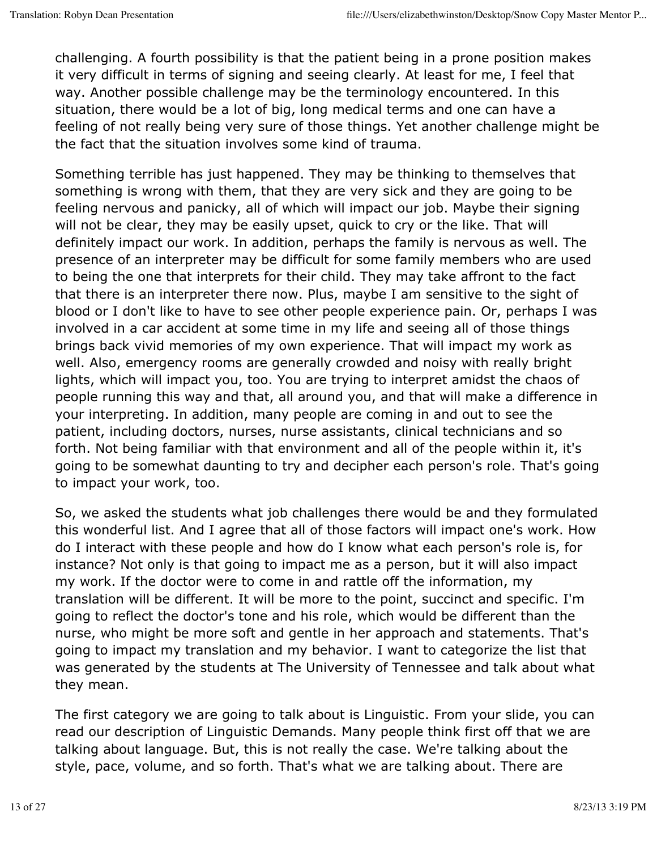challenging. A fourth possibility is that the patient being in a prone position makes it very difficult in terms of signing and seeing clearly. At least for me, I feel that way. Another possible challenge may be the terminology encountered. In this situation, there would be a lot of big, long medical terms and one can have a feeling of not really being very sure of those things. Yet another challenge might be the fact that the situation involves some kind of trauma.

Something terrible has just happened. They may be thinking to themselves that something is wrong with them, that they are very sick and they are going to be feeling nervous and panicky, all of which will impact our job. Maybe their signing will not be clear, they may be easily upset, quick to cry or the like. That will definitely impact our work. In addition, perhaps the family is nervous as well. The presence of an interpreter may be difficult for some family members who are used to being the one that interprets for their child. They may take affront to the fact that there is an interpreter there now. Plus, maybe I am sensitive to the sight of blood or I don't like to have to see other people experience pain. Or, perhaps I was involved in a car accident at some time in my life and seeing all of those things brings back vivid memories of my own experience. That will impact my work as well. Also, emergency rooms are generally crowded and noisy with really bright lights, which will impact you, too. You are trying to interpret amidst the chaos of people running this way and that, all around you, and that will make a difference in your interpreting. In addition, many people are coming in and out to see the patient, including doctors, nurses, nurse assistants, clinical technicians and so forth. Not being familiar with that environment and all of the people within it, it's going to be somewhat daunting to try and decipher each person's role. That's going to impact your work, too.

So, we asked the students what job challenges there would be and they formulated this wonderful list. And I agree that all of those factors will impact one's work. How do I interact with these people and how do I know what each person's role is, for instance? Not only is that going to impact me as a person, but it will also impact my work. If the doctor were to come in and rattle off the information, my translation will be different. It will be more to the point, succinct and specific. I'm going to reflect the doctor's tone and his role, which would be different than the nurse, who might be more soft and gentle in her approach and statements. That's going to impact my translation and my behavior. I want to categorize the list that was generated by the students at The University of Tennessee and talk about what they mean.

The first category we are going to talk about is Linguistic. From your slide, you can read our description of Linguistic Demands. Many people think first off that we are talking about language. But, this is not really the case. We're talking about the style, pace, volume, and so forth. That's what we are talking about. There are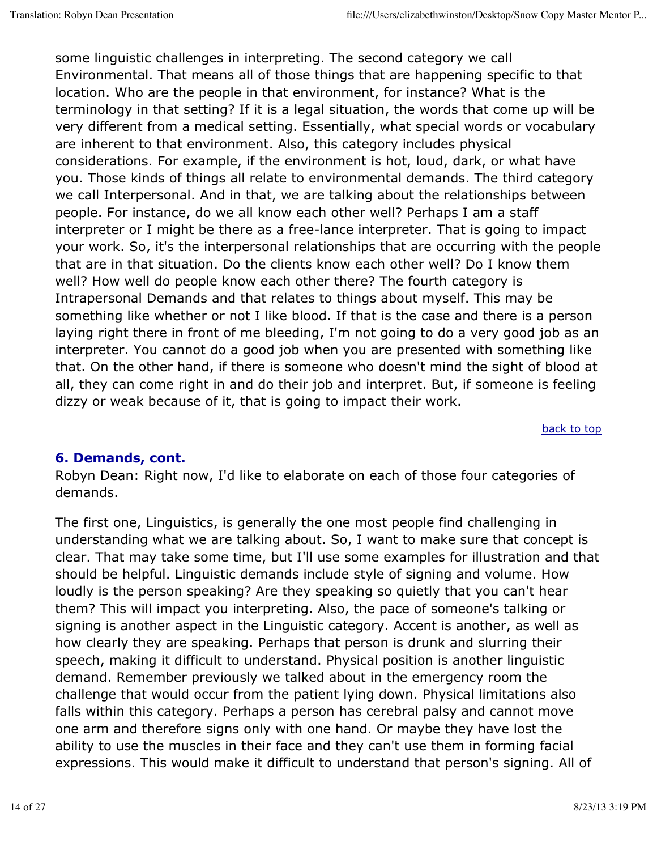some linguistic challenges in interpreting. The second category we call Environmental. That means all of those things that are happening specific to that location. Who are the people in that environment, for instance? What is the terminology in that setting? If it is a legal situation, the words that come up will be very different from a medical setting. Essentially, what special words or vocabulary are inherent to that environment. Also, this category includes physical considerations. For example, if the environment is hot, loud, dark, or what have you. Those kinds of things all relate to environmental demands. The third category we call Interpersonal. And in that, we are talking about the relationships between people. For instance, do we all know each other well? Perhaps I am a staff interpreter or I might be there as a free-lance interpreter. That is going to impact your work. So, it's the interpersonal relationships that are occurring with the people that are in that situation. Do the clients know each other well? Do I know them well? How well do people know each other there? The fourth category is Intrapersonal Demands and that relates to things about myself. This may be something like whether or not I like blood. If that is the case and there is a person laying right there in front of me bleeding, I'm not going to do a very good job as an interpreter. You cannot do a good job when you are presented with something like that. On the other hand, if there is someone who doesn't mind the sight of blood at all, they can come right in and do their job and interpret. But, if someone is feeling dizzy or weak because of it, that is going to impact their work.

back to top

#### **6. Demands, cont.**

Robyn Dean: Right now, I'd like to elaborate on each of those four categories of demands.

The first one, Linguistics, is generally the one most people find challenging in understanding what we are talking about. So, I want to make sure that concept is clear. That may take some time, but I'll use some examples for illustration and that should be helpful. Linguistic demands include style of signing and volume. How loudly is the person speaking? Are they speaking so quietly that you can't hear them? This will impact you interpreting. Also, the pace of someone's talking or signing is another aspect in the Linguistic category. Accent is another, as well as how clearly they are speaking. Perhaps that person is drunk and slurring their speech, making it difficult to understand. Physical position is another linguistic demand. Remember previously we talked about in the emergency room the challenge that would occur from the patient lying down. Physical limitations also falls within this category. Perhaps a person has cerebral palsy and cannot move one arm and therefore signs only with one hand. Or maybe they have lost the ability to use the muscles in their face and they can't use them in forming facial expressions. This would make it difficult to understand that person's signing. All of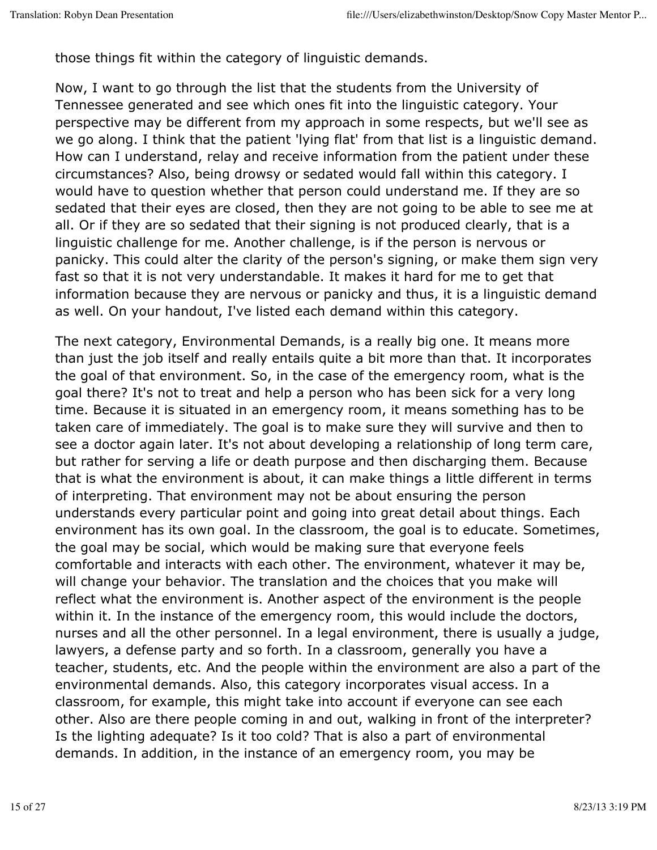those things fit within the category of linguistic demands.

Now, I want to go through the list that the students from the University of Tennessee generated and see which ones fit into the linguistic category. Your perspective may be different from my approach in some respects, but we'll see as we go along. I think that the patient 'lying flat' from that list is a linguistic demand. How can I understand, relay and receive information from the patient under these circumstances? Also, being drowsy or sedated would fall within this category. I would have to question whether that person could understand me. If they are so sedated that their eyes are closed, then they are not going to be able to see me at all. Or if they are so sedated that their signing is not produced clearly, that is a linguistic challenge for me. Another challenge, is if the person is nervous or panicky. This could alter the clarity of the person's signing, or make them sign very fast so that it is not very understandable. It makes it hard for me to get that information because they are nervous or panicky and thus, it is a linguistic demand as well. On your handout, I've listed each demand within this category.

The next category, Environmental Demands, is a really big one. It means more than just the job itself and really entails quite a bit more than that. It incorporates the goal of that environment. So, in the case of the emergency room, what is the goal there? It's not to treat and help a person who has been sick for a very long time. Because it is situated in an emergency room, it means something has to be taken care of immediately. The goal is to make sure they will survive and then to see a doctor again later. It's not about developing a relationship of long term care, but rather for serving a life or death purpose and then discharging them. Because that is what the environment is about, it can make things a little different in terms of interpreting. That environment may not be about ensuring the person understands every particular point and going into great detail about things. Each environment has its own goal. In the classroom, the goal is to educate. Sometimes, the goal may be social, which would be making sure that everyone feels comfortable and interacts with each other. The environment, whatever it may be, will change your behavior. The translation and the choices that you make will reflect what the environment is. Another aspect of the environment is the people within it. In the instance of the emergency room, this would include the doctors, nurses and all the other personnel. In a legal environment, there is usually a judge, lawyers, a defense party and so forth. In a classroom, generally you have a teacher, students, etc. And the people within the environment are also a part of the environmental demands. Also, this category incorporates visual access. In a classroom, for example, this might take into account if everyone can see each other. Also are there people coming in and out, walking in front of the interpreter? Is the lighting adequate? Is it too cold? That is also a part of environmental demands. In addition, in the instance of an emergency room, you may be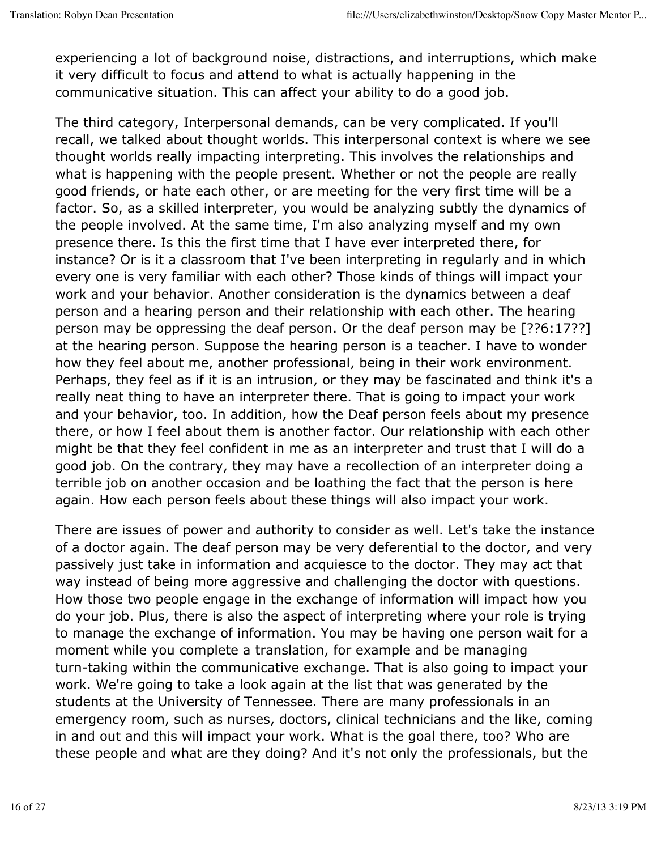experiencing a lot of background noise, distractions, and interruptions, which make it very difficult to focus and attend to what is actually happening in the communicative situation. This can affect your ability to do a good job.

The third category, Interpersonal demands, can be very complicated. If you'll recall, we talked about thought worlds. This interpersonal context is where we see thought worlds really impacting interpreting. This involves the relationships and what is happening with the people present. Whether or not the people are really good friends, or hate each other, or are meeting for the very first time will be a factor. So, as a skilled interpreter, you would be analyzing subtly the dynamics of the people involved. At the same time, I'm also analyzing myself and my own presence there. Is this the first time that I have ever interpreted there, for instance? Or is it a classroom that I've been interpreting in regularly and in which every one is very familiar with each other? Those kinds of things will impact your work and your behavior. Another consideration is the dynamics between a deaf person and a hearing person and their relationship with each other. The hearing person may be oppressing the deaf person. Or the deaf person may be [??6:17??] at the hearing person. Suppose the hearing person is a teacher. I have to wonder how they feel about me, another professional, being in their work environment. Perhaps, they feel as if it is an intrusion, or they may be fascinated and think it's a really neat thing to have an interpreter there. That is going to impact your work and your behavior, too. In addition, how the Deaf person feels about my presence there, or how I feel about them is another factor. Our relationship with each other might be that they feel confident in me as an interpreter and trust that I will do a good job. On the contrary, they may have a recollection of an interpreter doing a terrible job on another occasion and be loathing the fact that the person is here again. How each person feels about these things will also impact your work.

There are issues of power and authority to consider as well. Let's take the instance of a doctor again. The deaf person may be very deferential to the doctor, and very passively just take in information and acquiesce to the doctor. They may act that way instead of being more aggressive and challenging the doctor with questions. How those two people engage in the exchange of information will impact how you do your job. Plus, there is also the aspect of interpreting where your role is trying to manage the exchange of information. You may be having one person wait for a moment while you complete a translation, for example and be managing turn-taking within the communicative exchange. That is also going to impact your work. We're going to take a look again at the list that was generated by the students at the University of Tennessee. There are many professionals in an emergency room, such as nurses, doctors, clinical technicians and the like, coming in and out and this will impact your work. What is the goal there, too? Who are these people and what are they doing? And it's not only the professionals, but the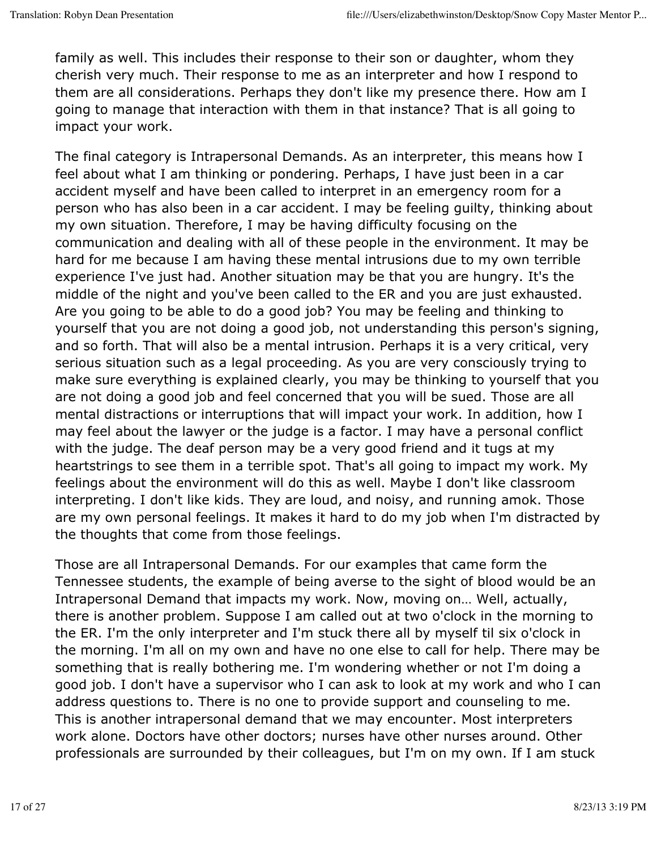family as well. This includes their response to their son or daughter, whom they cherish very much. Their response to me as an interpreter and how I respond to them are all considerations. Perhaps they don't like my presence there. How am I going to manage that interaction with them in that instance? That is all going to impact your work.

The final category is Intrapersonal Demands. As an interpreter, this means how I feel about what I am thinking or pondering. Perhaps, I have just been in a car accident myself and have been called to interpret in an emergency room for a person who has also been in a car accident. I may be feeling guilty, thinking about my own situation. Therefore, I may be having difficulty focusing on the communication and dealing with all of these people in the environment. It may be hard for me because I am having these mental intrusions due to my own terrible experience I've just had. Another situation may be that you are hungry. It's the middle of the night and you've been called to the ER and you are just exhausted. Are you going to be able to do a good job? You may be feeling and thinking to yourself that you are not doing a good job, not understanding this person's signing, and so forth. That will also be a mental intrusion. Perhaps it is a very critical, very serious situation such as a legal proceeding. As you are very consciously trying to make sure everything is explained clearly, you may be thinking to yourself that you are not doing a good job and feel concerned that you will be sued. Those are all mental distractions or interruptions that will impact your work. In addition, how I may feel about the lawyer or the judge is a factor. I may have a personal conflict with the judge. The deaf person may be a very good friend and it tugs at my heartstrings to see them in a terrible spot. That's all going to impact my work. My feelings about the environment will do this as well. Maybe I don't like classroom interpreting. I don't like kids. They are loud, and noisy, and running amok. Those are my own personal feelings. It makes it hard to do my job when I'm distracted by the thoughts that come from those feelings.

Those are all Intrapersonal Demands. For our examples that came form the Tennessee students, the example of being averse to the sight of blood would be an Intrapersonal Demand that impacts my work. Now, moving on… Well, actually, there is another problem. Suppose I am called out at two o'clock in the morning to the ER. I'm the only interpreter and I'm stuck there all by myself til six o'clock in the morning. I'm all on my own and have no one else to call for help. There may be something that is really bothering me. I'm wondering whether or not I'm doing a good job. I don't have a supervisor who I can ask to look at my work and who I can address questions to. There is no one to provide support and counseling to me. This is another intrapersonal demand that we may encounter. Most interpreters work alone. Doctors have other doctors; nurses have other nurses around. Other professionals are surrounded by their colleagues, but I'm on my own. If I am stuck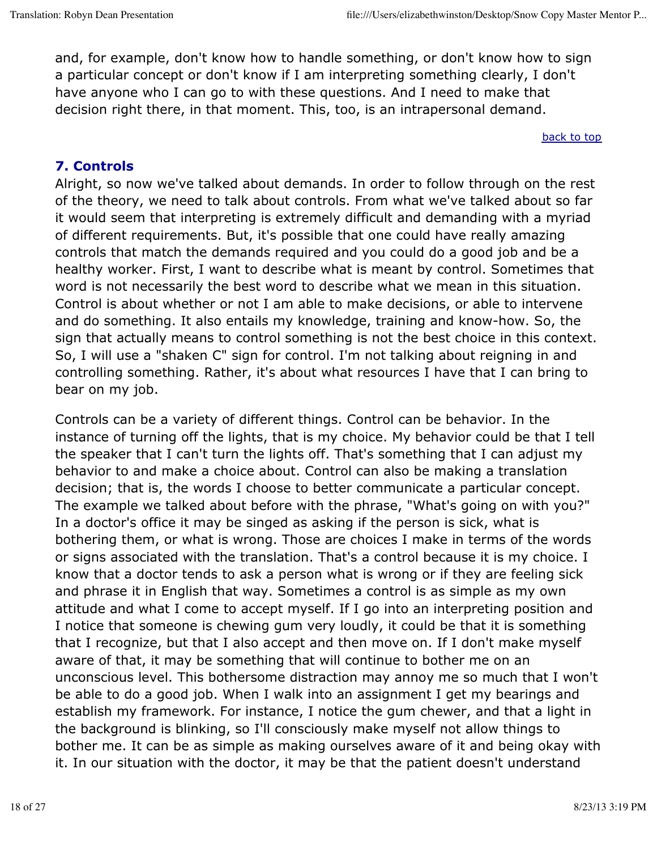and, for example, don't know how to handle something, or don't know how to sign a particular concept or don't know if I am interpreting something clearly, I don't have anyone who I can go to with these questions. And I need to make that decision right there, in that moment. This, too, is an intrapersonal demand.

back to top

### **7. Controls**

Alright, so now we've talked about demands. In order to follow through on the rest of the theory, we need to talk about controls. From what we've talked about so far it would seem that interpreting is extremely difficult and demanding with a myriad of different requirements. But, it's possible that one could have really amazing controls that match the demands required and you could do a good job and be a healthy worker. First, I want to describe what is meant by control. Sometimes that word is not necessarily the best word to describe what we mean in this situation. Control is about whether or not I am able to make decisions, or able to intervene and do something. It also entails my knowledge, training and know-how. So, the sign that actually means to control something is not the best choice in this context. So, I will use a "shaken C" sign for control. I'm not talking about reigning in and controlling something. Rather, it's about what resources I have that I can bring to bear on my job.

Controls can be a variety of different things. Control can be behavior. In the instance of turning off the lights, that is my choice. My behavior could be that I tell the speaker that I can't turn the lights off. That's something that I can adjust my behavior to and make a choice about. Control can also be making a translation decision; that is, the words I choose to better communicate a particular concept. The example we talked about before with the phrase, "What's going on with you?" In a doctor's office it may be singed as asking if the person is sick, what is bothering them, or what is wrong. Those are choices I make in terms of the words or signs associated with the translation. That's a control because it is my choice. I know that a doctor tends to ask a person what is wrong or if they are feeling sick and phrase it in English that way. Sometimes a control is as simple as my own attitude and what I come to accept myself. If I go into an interpreting position and I notice that someone is chewing gum very loudly, it could be that it is something that I recognize, but that I also accept and then move on. If I don't make myself aware of that, it may be something that will continue to bother me on an unconscious level. This bothersome distraction may annoy me so much that I won't be able to do a good job. When I walk into an assignment I get my bearings and establish my framework. For instance, I notice the gum chewer, and that a light in the background is blinking, so I'll consciously make myself not allow things to bother me. It can be as simple as making ourselves aware of it and being okay with it. In our situation with the doctor, it may be that the patient doesn't understand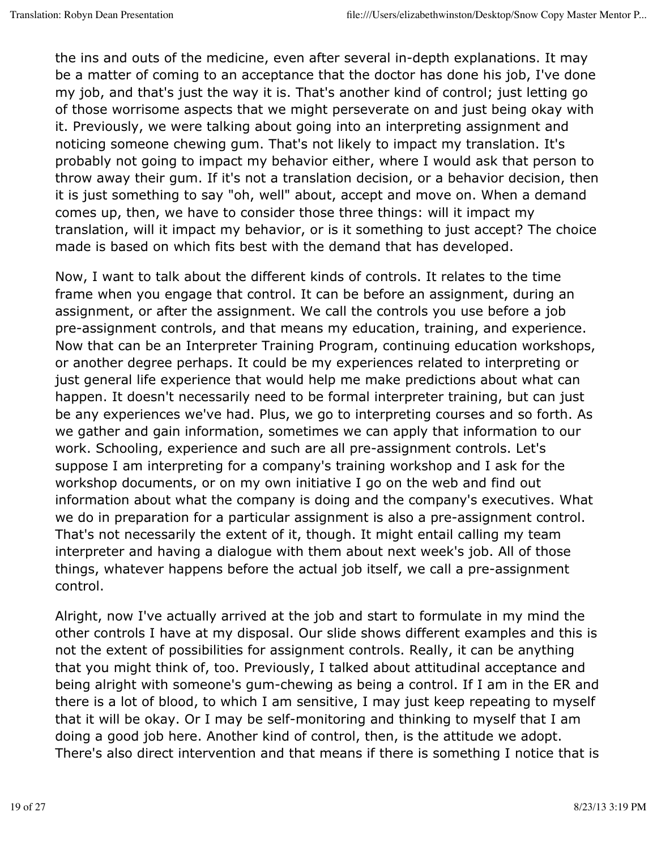the ins and outs of the medicine, even after several in-depth explanations. It may be a matter of coming to an acceptance that the doctor has done his job, I've done my job, and that's just the way it is. That's another kind of control; just letting go of those worrisome aspects that we might perseverate on and just being okay with it. Previously, we were talking about going into an interpreting assignment and noticing someone chewing gum. That's not likely to impact my translation. It's probably not going to impact my behavior either, where I would ask that person to throw away their gum. If it's not a translation decision, or a behavior decision, then it is just something to say "oh, well" about, accept and move on. When a demand comes up, then, we have to consider those three things: will it impact my translation, will it impact my behavior, or is it something to just accept? The choice made is based on which fits best with the demand that has developed.

Now, I want to talk about the different kinds of controls. It relates to the time frame when you engage that control. It can be before an assignment, during an assignment, or after the assignment. We call the controls you use before a job pre-assignment controls, and that means my education, training, and experience. Now that can be an Interpreter Training Program, continuing education workshops, or another degree perhaps. It could be my experiences related to interpreting or just general life experience that would help me make predictions about what can happen. It doesn't necessarily need to be formal interpreter training, but can just be any experiences we've had. Plus, we go to interpreting courses and so forth. As we gather and gain information, sometimes we can apply that information to our work. Schooling, experience and such are all pre-assignment controls. Let's suppose I am interpreting for a company's training workshop and I ask for the workshop documents, or on my own initiative I go on the web and find out information about what the company is doing and the company's executives. What we do in preparation for a particular assignment is also a pre-assignment control. That's not necessarily the extent of it, though. It might entail calling my team interpreter and having a dialogue with them about next week's job. All of those things, whatever happens before the actual job itself, we call a pre-assignment control.

Alright, now I've actually arrived at the job and start to formulate in my mind the other controls I have at my disposal. Our slide shows different examples and this is not the extent of possibilities for assignment controls. Really, it can be anything that you might think of, too. Previously, I talked about attitudinal acceptance and being alright with someone's gum-chewing as being a control. If I am in the ER and there is a lot of blood, to which I am sensitive, I may just keep repeating to myself that it will be okay. Or I may be self-monitoring and thinking to myself that I am doing a good job here. Another kind of control, then, is the attitude we adopt. There's also direct intervention and that means if there is something I notice that is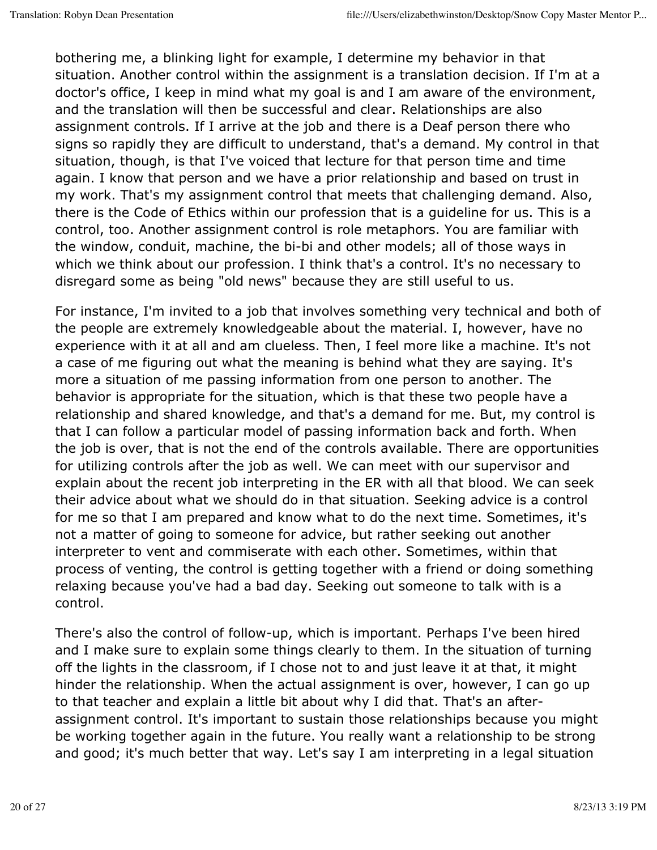bothering me, a blinking light for example, I determine my behavior in that situation. Another control within the assignment is a translation decision. If I'm at a doctor's office, I keep in mind what my goal is and I am aware of the environment, and the translation will then be successful and clear. Relationships are also assignment controls. If I arrive at the job and there is a Deaf person there who signs so rapidly they are difficult to understand, that's a demand. My control in that situation, though, is that I've voiced that lecture for that person time and time again. I know that person and we have a prior relationship and based on trust in my work. That's my assignment control that meets that challenging demand. Also, there is the Code of Ethics within our profession that is a guideline for us. This is a control, too. Another assignment control is role metaphors. You are familiar with the window, conduit, machine, the bi-bi and other models; all of those ways in which we think about our profession. I think that's a control. It's no necessary to disregard some as being "old news" because they are still useful to us.

For instance, I'm invited to a job that involves something very technical and both of the people are extremely knowledgeable about the material. I, however, have no experience with it at all and am clueless. Then, I feel more like a machine. It's not a case of me figuring out what the meaning is behind what they are saying. It's more a situation of me passing information from one person to another. The behavior is appropriate for the situation, which is that these two people have a relationship and shared knowledge, and that's a demand for me. But, my control is that I can follow a particular model of passing information back and forth. When the job is over, that is not the end of the controls available. There are opportunities for utilizing controls after the job as well. We can meet with our supervisor and explain about the recent job interpreting in the ER with all that blood. We can seek their advice about what we should do in that situation. Seeking advice is a control for me so that I am prepared and know what to do the next time. Sometimes, it's not a matter of going to someone for advice, but rather seeking out another interpreter to vent and commiserate with each other. Sometimes, within that process of venting, the control is getting together with a friend or doing something relaxing because you've had a bad day. Seeking out someone to talk with is a control.

There's also the control of follow-up, which is important. Perhaps I've been hired and I make sure to explain some things clearly to them. In the situation of turning off the lights in the classroom, if I chose not to and just leave it at that, it might hinder the relationship. When the actual assignment is over, however, I can go up to that teacher and explain a little bit about why I did that. That's an afterassignment control. It's important to sustain those relationships because you might be working together again in the future. You really want a relationship to be strong and good; it's much better that way. Let's say I am interpreting in a legal situation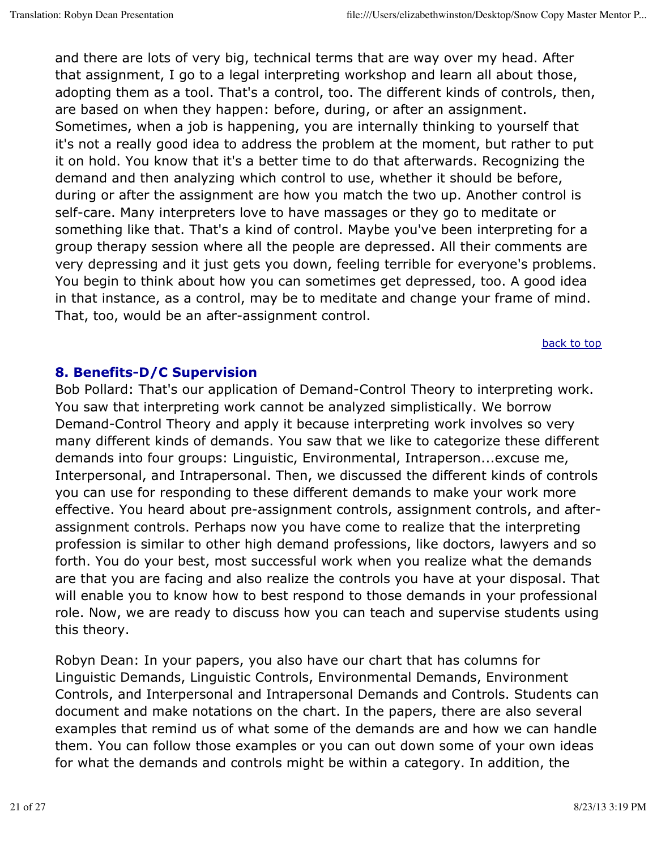and there are lots of very big, technical terms that are way over my head. After that assignment, I go to a legal interpreting workshop and learn all about those, adopting them as a tool. That's a control, too. The different kinds of controls, then, are based on when they happen: before, during, or after an assignment. Sometimes, when a job is happening, you are internally thinking to yourself that it's not a really good idea to address the problem at the moment, but rather to put it on hold. You know that it's a better time to do that afterwards. Recognizing the demand and then analyzing which control to use, whether it should be before, during or after the assignment are how you match the two up. Another control is self-care. Many interpreters love to have massages or they go to meditate or something like that. That's a kind of control. Maybe you've been interpreting for a group therapy session where all the people are depressed. All their comments are very depressing and it just gets you down, feeling terrible for everyone's problems. You begin to think about how you can sometimes get depressed, too. A good idea in that instance, as a control, may be to meditate and change your frame of mind. That, too, would be an after-assignment control.

back to top

#### **8. Benefits-D/C Supervision**

Bob Pollard: That's our application of Demand-Control Theory to interpreting work. You saw that interpreting work cannot be analyzed simplistically. We borrow Demand-Control Theory and apply it because interpreting work involves so very many different kinds of demands. You saw that we like to categorize these different demands into four groups: Linguistic, Environmental, Intraperson...excuse me, Interpersonal, and Intrapersonal. Then, we discussed the different kinds of controls you can use for responding to these different demands to make your work more effective. You heard about pre-assignment controls, assignment controls, and afterassignment controls. Perhaps now you have come to realize that the interpreting profession is similar to other high demand professions, like doctors, lawyers and so forth. You do your best, most successful work when you realize what the demands are that you are facing and also realize the controls you have at your disposal. That will enable you to know how to best respond to those demands in your professional role. Now, we are ready to discuss how you can teach and supervise students using this theory.

Robyn Dean: In your papers, you also have our chart that has columns for Linguistic Demands, Linguistic Controls, Environmental Demands, Environment Controls, and Interpersonal and Intrapersonal Demands and Controls. Students can document and make notations on the chart. In the papers, there are also several examples that remind us of what some of the demands are and how we can handle them. You can follow those examples or you can out down some of your own ideas for what the demands and controls might be within a category. In addition, the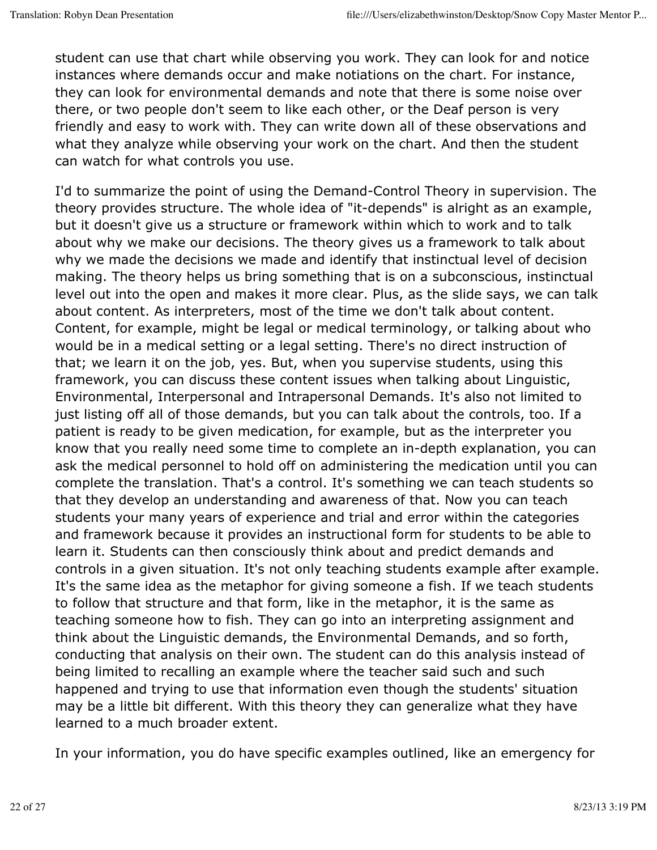student can use that chart while observing you work. They can look for and notice instances where demands occur and make notiations on the chart. For instance, they can look for environmental demands and note that there is some noise over there, or two people don't seem to like each other, or the Deaf person is very friendly and easy to work with. They can write down all of these observations and what they analyze while observing your work on the chart. And then the student can watch for what controls you use.

I'd to summarize the point of using the Demand-Control Theory in supervision. The theory provides structure. The whole idea of "it-depends" is alright as an example, but it doesn't give us a structure or framework within which to work and to talk about why we make our decisions. The theory gives us a framework to talk about why we made the decisions we made and identify that instinctual level of decision making. The theory helps us bring something that is on a subconscious, instinctual level out into the open and makes it more clear. Plus, as the slide says, we can talk about content. As interpreters, most of the time we don't talk about content. Content, for example, might be legal or medical terminology, or talking about who would be in a medical setting or a legal setting. There's no direct instruction of that; we learn it on the job, yes. But, when you supervise students, using this framework, you can discuss these content issues when talking about Linguistic, Environmental, Interpersonal and Intrapersonal Demands. It's also not limited to just listing off all of those demands, but you can talk about the controls, too. If a patient is ready to be given medication, for example, but as the interpreter you know that you really need some time to complete an in-depth explanation, you can ask the medical personnel to hold off on administering the medication until you can complete the translation. That's a control. It's something we can teach students so that they develop an understanding and awareness of that. Now you can teach students your many years of experience and trial and error within the categories and framework because it provides an instructional form for students to be able to learn it. Students can then consciously think about and predict demands and controls in a given situation. It's not only teaching students example after example. It's the same idea as the metaphor for giving someone a fish. If we teach students to follow that structure and that form, like in the metaphor, it is the same as teaching someone how to fish. They can go into an interpreting assignment and think about the Linguistic demands, the Environmental Demands, and so forth, conducting that analysis on their own. The student can do this analysis instead of being limited to recalling an example where the teacher said such and such happened and trying to use that information even though the students' situation may be a little bit different. With this theory they can generalize what they have learned to a much broader extent.

In your information, you do have specific examples outlined, like an emergency for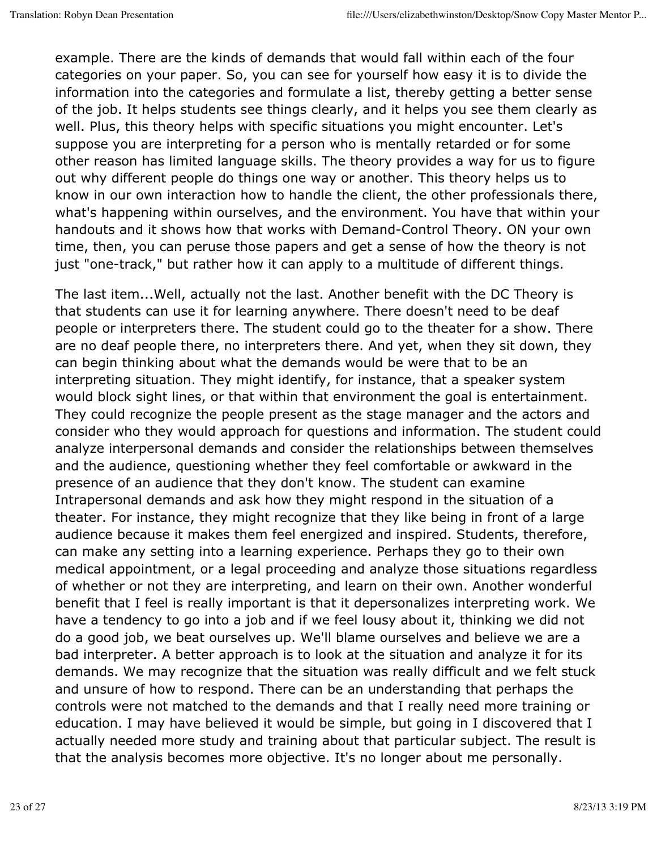example. There are the kinds of demands that would fall within each of the four categories on your paper. So, you can see for yourself how easy it is to divide the information into the categories and formulate a list, thereby getting a better sense of the job. It helps students see things clearly, and it helps you see them clearly as well. Plus, this theory helps with specific situations you might encounter. Let's suppose you are interpreting for a person who is mentally retarded or for some other reason has limited language skills. The theory provides a way for us to figure out why different people do things one way or another. This theory helps us to know in our own interaction how to handle the client, the other professionals there, what's happening within ourselves, and the environment. You have that within your handouts and it shows how that works with Demand-Control Theory. ON your own time, then, you can peruse those papers and get a sense of how the theory is not just "one-track," but rather how it can apply to a multitude of different things.

The last item...Well, actually not the last. Another benefit with the DC Theory is that students can use it for learning anywhere. There doesn't need to be deaf people or interpreters there. The student could go to the theater for a show. There are no deaf people there, no interpreters there. And yet, when they sit down, they can begin thinking about what the demands would be were that to be an interpreting situation. They might identify, for instance, that a speaker system would block sight lines, or that within that environment the goal is entertainment. They could recognize the people present as the stage manager and the actors and consider who they would approach for questions and information. The student could analyze interpersonal demands and consider the relationships between themselves and the audience, questioning whether they feel comfortable or awkward in the presence of an audience that they don't know. The student can examine Intrapersonal demands and ask how they might respond in the situation of a theater. For instance, they might recognize that they like being in front of a large audience because it makes them feel energized and inspired. Students, therefore, can make any setting into a learning experience. Perhaps they go to their own medical appointment, or a legal proceeding and analyze those situations regardless of whether or not they are interpreting, and learn on their own. Another wonderful benefit that I feel is really important is that it depersonalizes interpreting work. We have a tendency to go into a job and if we feel lousy about it, thinking we did not do a good job, we beat ourselves up. We'll blame ourselves and believe we are a bad interpreter. A better approach is to look at the situation and analyze it for its demands. We may recognize that the situation was really difficult and we felt stuck and unsure of how to respond. There can be an understanding that perhaps the controls were not matched to the demands and that I really need more training or education. I may have believed it would be simple, but going in I discovered that I actually needed more study and training about that particular subject. The result is that the analysis becomes more objective. It's no longer about me personally.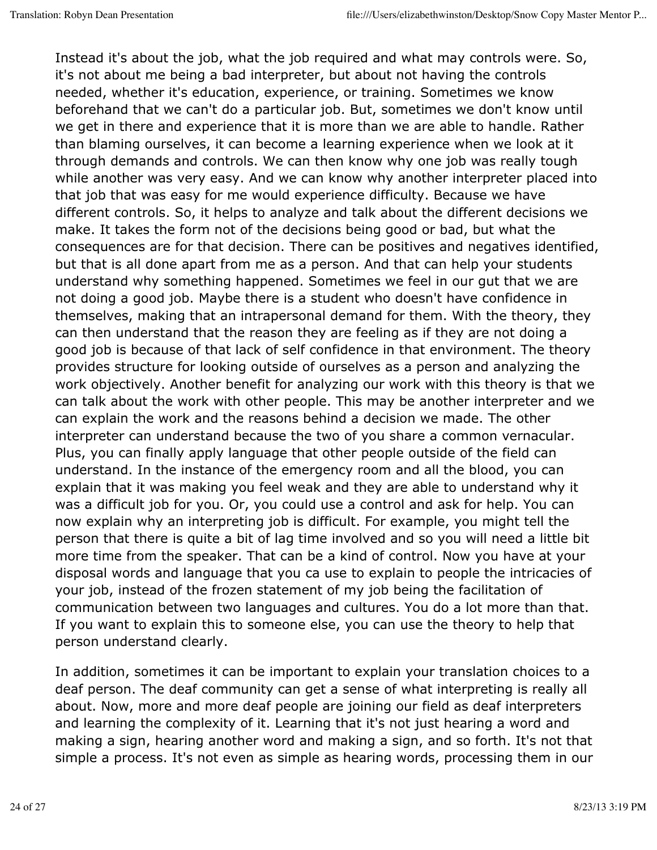Instead it's about the job, what the job required and what may controls were. So, it's not about me being a bad interpreter, but about not having the controls needed, whether it's education, experience, or training. Sometimes we know beforehand that we can't do a particular job. But, sometimes we don't know until we get in there and experience that it is more than we are able to handle. Rather than blaming ourselves, it can become a learning experience when we look at it through demands and controls. We can then know why one job was really tough while another was very easy. And we can know why another interpreter placed into that job that was easy for me would experience difficulty. Because we have different controls. So, it helps to analyze and talk about the different decisions we make. It takes the form not of the decisions being good or bad, but what the consequences are for that decision. There can be positives and negatives identified, but that is all done apart from me as a person. And that can help your students understand why something happened. Sometimes we feel in our gut that we are not doing a good job. Maybe there is a student who doesn't have confidence in themselves, making that an intrapersonal demand for them. With the theory, they can then understand that the reason they are feeling as if they are not doing a good job is because of that lack of self confidence in that environment. The theory provides structure for looking outside of ourselves as a person and analyzing the work objectively. Another benefit for analyzing our work with this theory is that we can talk about the work with other people. This may be another interpreter and we can explain the work and the reasons behind a decision we made. The other interpreter can understand because the two of you share a common vernacular. Plus, you can finally apply language that other people outside of the field can understand. In the instance of the emergency room and all the blood, you can explain that it was making you feel weak and they are able to understand why it was a difficult job for you. Or, you could use a control and ask for help. You can now explain why an interpreting job is difficult. For example, you might tell the person that there is quite a bit of lag time involved and so you will need a little bit more time from the speaker. That can be a kind of control. Now you have at your disposal words and language that you ca use to explain to people the intricacies of your job, instead of the frozen statement of my job being the facilitation of communication between two languages and cultures. You do a lot more than that. If you want to explain this to someone else, you can use the theory to help that person understand clearly.

In addition, sometimes it can be important to explain your translation choices to a deaf person. The deaf community can get a sense of what interpreting is really all about. Now, more and more deaf people are joining our field as deaf interpreters and learning the complexity of it. Learning that it's not just hearing a word and making a sign, hearing another word and making a sign, and so forth. It's not that simple a process. It's not even as simple as hearing words, processing them in our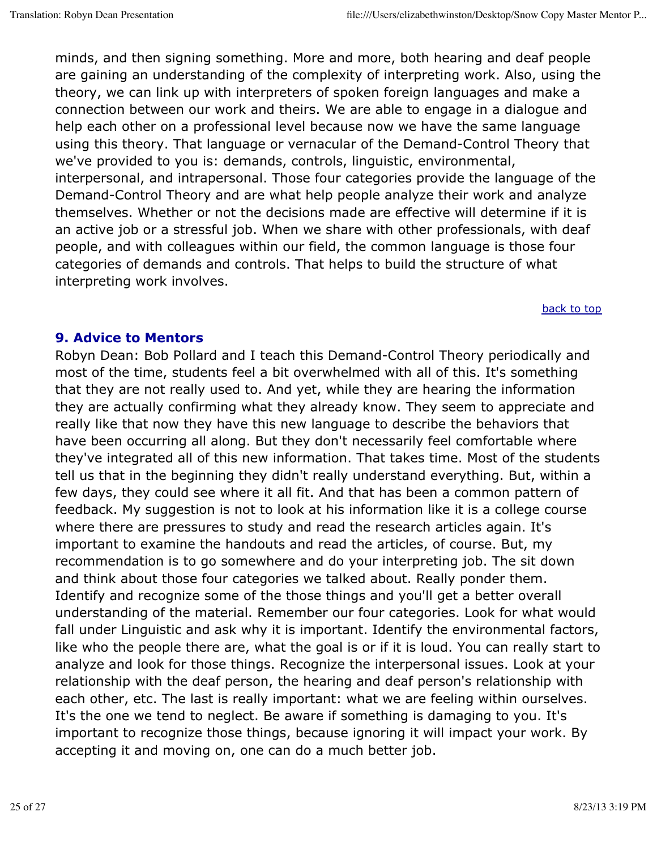minds, and then signing something. More and more, both hearing and deaf people are gaining an understanding of the complexity of interpreting work. Also, using the theory, we can link up with interpreters of spoken foreign languages and make a connection between our work and theirs. We are able to engage in a dialogue and help each other on a professional level because now we have the same language using this theory. That language or vernacular of the Demand-Control Theory that we've provided to you is: demands, controls, linguistic, environmental, interpersonal, and intrapersonal. Those four categories provide the language of the Demand-Control Theory and are what help people analyze their work and analyze themselves. Whether or not the decisions made are effective will determine if it is an active job or a stressful job. When we share with other professionals, with deaf people, and with colleagues within our field, the common language is those four categories of demands and controls. That helps to build the structure of what interpreting work involves.

back to top

#### **9. Advice to Mentors**

Robyn Dean: Bob Pollard and I teach this Demand-Control Theory periodically and most of the time, students feel a bit overwhelmed with all of this. It's something that they are not really used to. And yet, while they are hearing the information they are actually confirming what they already know. They seem to appreciate and really like that now they have this new language to describe the behaviors that have been occurring all along. But they don't necessarily feel comfortable where they've integrated all of this new information. That takes time. Most of the students tell us that in the beginning they didn't really understand everything. But, within a few days, they could see where it all fit. And that has been a common pattern of feedback. My suggestion is not to look at his information like it is a college course where there are pressures to study and read the research articles again. It's important to examine the handouts and read the articles, of course. But, my recommendation is to go somewhere and do your interpreting job. The sit down and think about those four categories we talked about. Really ponder them. Identify and recognize some of the those things and you'll get a better overall understanding of the material. Remember our four categories. Look for what would fall under Linguistic and ask why it is important. Identify the environmental factors, like who the people there are, what the goal is or if it is loud. You can really start to analyze and look for those things. Recognize the interpersonal issues. Look at your relationship with the deaf person, the hearing and deaf person's relationship with each other, etc. The last is really important: what we are feeling within ourselves. It's the one we tend to neglect. Be aware if something is damaging to you. It's important to recognize those things, because ignoring it will impact your work. By accepting it and moving on, one can do a much better job.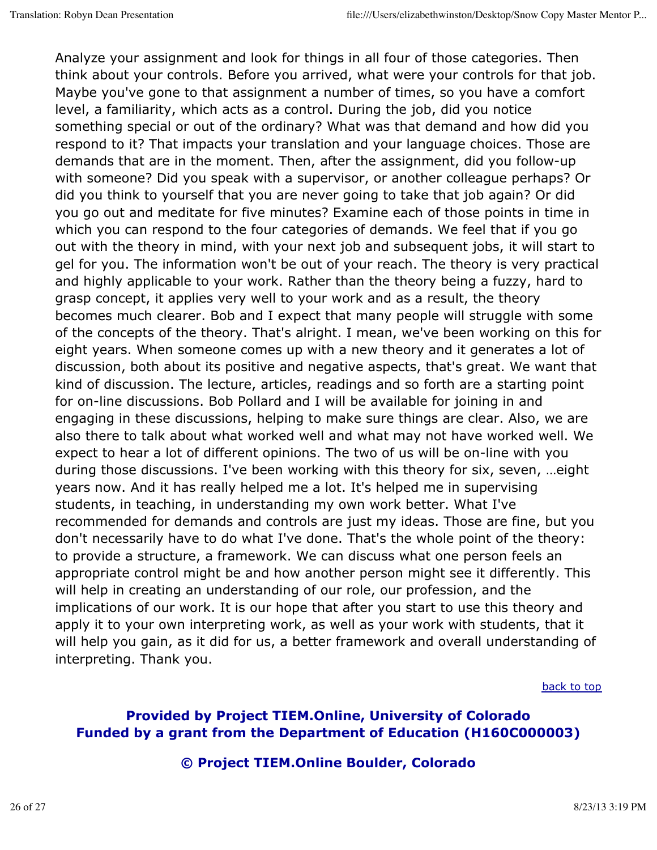Analyze your assignment and look for things in all four of those categories. Then think about your controls. Before you arrived, what were your controls for that job. Maybe you've gone to that assignment a number of times, so you have a comfort level, a familiarity, which acts as a control. During the job, did you notice something special or out of the ordinary? What was that demand and how did you respond to it? That impacts your translation and your language choices. Those are demands that are in the moment. Then, after the assignment, did you follow-up with someone? Did you speak with a supervisor, or another colleague perhaps? Or did you think to yourself that you are never going to take that job again? Or did you go out and meditate for five minutes? Examine each of those points in time in which you can respond to the four categories of demands. We feel that if you go out with the theory in mind, with your next job and subsequent jobs, it will start to gel for you. The information won't be out of your reach. The theory is very practical and highly applicable to your work. Rather than the theory being a fuzzy, hard to grasp concept, it applies very well to your work and as a result, the theory becomes much clearer. Bob and I expect that many people will struggle with some of the concepts of the theory. That's alright. I mean, we've been working on this for eight years. When someone comes up with a new theory and it generates a lot of discussion, both about its positive and negative aspects, that's great. We want that kind of discussion. The lecture, articles, readings and so forth are a starting point for on-line discussions. Bob Pollard and I will be available for joining in and engaging in these discussions, helping to make sure things are clear. Also, we are also there to talk about what worked well and what may not have worked well. We expect to hear a lot of different opinions. The two of us will be on-line with you during those discussions. I've been working with this theory for six, seven, …eight years now. And it has really helped me a lot. It's helped me in supervising students, in teaching, in understanding my own work better. What I've recommended for demands and controls are just my ideas. Those are fine, but you don't necessarily have to do what I've done. That's the whole point of the theory: to provide a structure, a framework. We can discuss what one person feels an appropriate control might be and how another person might see it differently. This will help in creating an understanding of our role, our profession, and the implications of our work. It is our hope that after you start to use this theory and apply it to your own interpreting work, as well as your work with students, that it will help you gain, as it did for us, a better framework and overall understanding of interpreting. Thank you.

back to top

# **Provided by Project TIEM.Online, University of Colorado Funded by a grant from the Department of Education (H160C000003)**

#### **© Project TIEM.Online Boulder, Colorado**